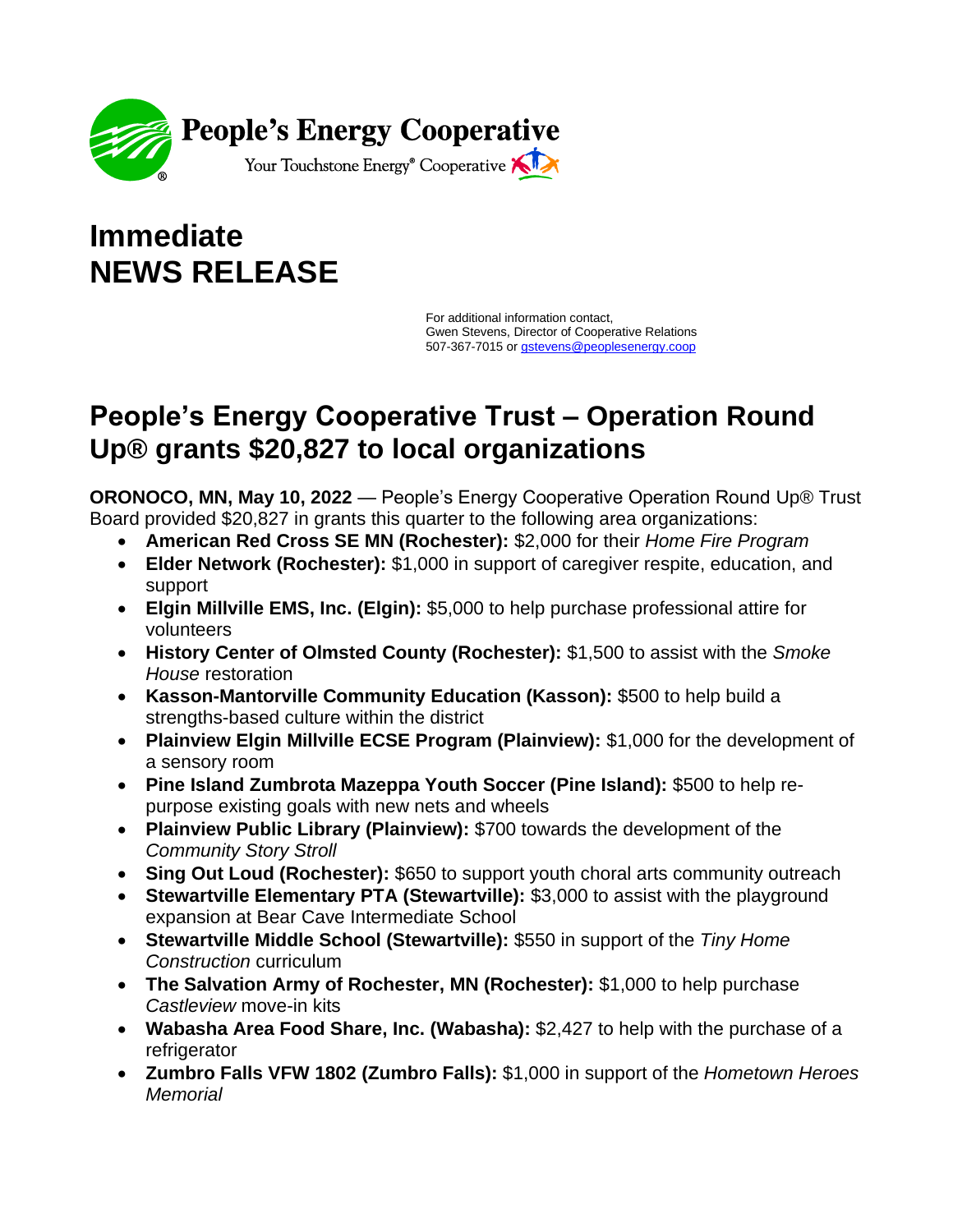

## **Immediate NEWS RELEASE**

For additional information contact, Gwen Stevens, Director of Cooperative Relations 507-367-7015 or [gstevens@peoplese](mailto:gstevens@peoples)nergy.coop

## **People's Energy Cooperative Trust – Operation Round Up® grants \$20,827 to local organizations**

**ORONOCO, MN, May 10, 2022** — People's Energy Cooperative Operation Round Up® Trust Board provided \$20,827 in grants this quarter to the following area organizations:

- **American Red Cross SE MN (Rochester):** \$2,000 for their *Home Fire Program*
- **Elder Network (Rochester):** \$1,000 in support of caregiver respite, education, and support
- **Elgin Millville EMS, Inc. (Elgin):** \$5,000 to help purchase professional attire for volunteers
- **History Center of Olmsted County (Rochester):** \$1,500 to assist with the *Smoke House* restoration
- **Kasson-Mantorville Community Education (Kasson):** \$500 to help build a strengths-based culture within the district
- **Plainview Elgin Millville ECSE Program (Plainview):** \$1,000 for the development of a sensory room
- **Pine Island Zumbrota Mazeppa Youth Soccer (Pine Island):** \$500 to help repurpose existing goals with new nets and wheels
- **Plainview Public Library (Plainview):** \$700 towards the development of the *Community Story Stroll*
- **Sing Out Loud (Rochester):** \$650 to support youth choral arts community outreach
- **Stewartville Elementary PTA (Stewartville):** \$3,000 to assist with the playground expansion at Bear Cave Intermediate School
- **Stewartville Middle School (Stewartville):** \$550 in support of the *Tiny Home Construction* curriculum
- **The Salvation Army of Rochester, MN (Rochester):** \$1,000 to help purchase *Castleview* move-in kits
- **Wabasha Area Food Share, Inc. (Wabasha):** \$2,427 to help with the purchase of a refrigerator
- **Zumbro Falls VFW 1802 (Zumbro Falls):** \$1,000 in support of the *Hometown Heroes Memorial*